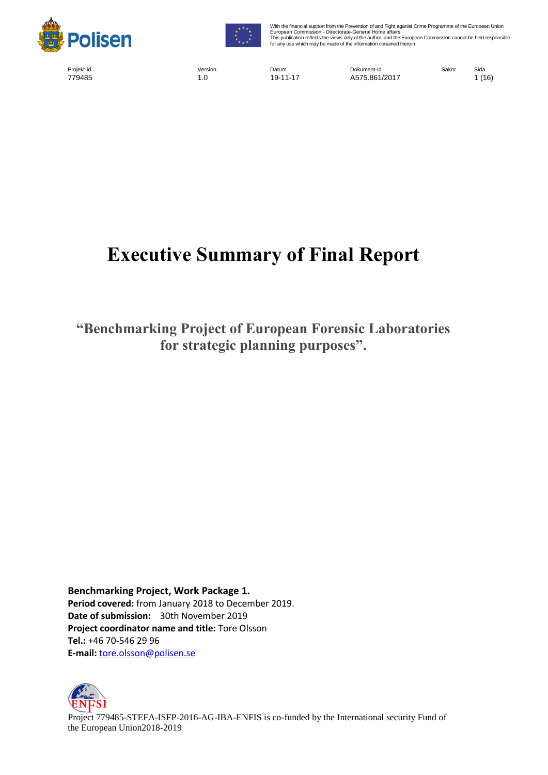



With the financial support from the Prevention of and Fight aganist Crime Programme of the European Union European Commission - Directorate-General Home affairs This publication reflects the views only of the author, and the European Commission cannot be held responsible for any use which may be made of the information conained therein

Projekt-id Version Datum Dokument-id Saknr Sida 779485 1.0 19-11-17 A575.861/2017 1 (16)

# **Executive Summary of Final Report**

**"Benchmarking Project of European Forensic Laboratories for strategic planning purposes".**

**Benchmarking Project, Work Package 1. Period covered:** from January 2018 to December 2019. **Date of submission:** 30th November 2019 **Project coordinator name and title:** Tore Olsson **Tel.:** +46 70-546 29 96 **E-mail:** [tore.olsson@polisen.se](mailto:tore.olsson@polisen.se)



Project 779485-STEFA-ISFP-2016-AG-IBA-ENFIS is co-funded by the International security Fund of the European Union2018-2019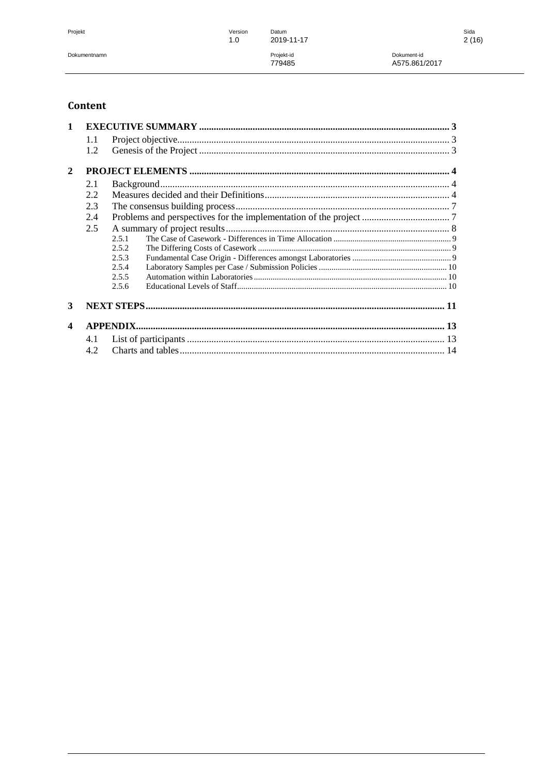Projekt

Version Datum 2019-11-17 Projekt-id<br>779485

 $1.0\,$ 

Dokument-id A575.861/2017

## Content

| $\mathbf{1}$          |     |       |  |  |  |  |
|-----------------------|-----|-------|--|--|--|--|
|                       | 1.1 |       |  |  |  |  |
|                       | 1.2 |       |  |  |  |  |
| $\overline{2}$        |     |       |  |  |  |  |
|                       | 2.1 |       |  |  |  |  |
|                       | 2.2 |       |  |  |  |  |
|                       | 2.3 |       |  |  |  |  |
|                       | 2.4 |       |  |  |  |  |
|                       | 2.5 |       |  |  |  |  |
|                       |     | 2.5.1 |  |  |  |  |
|                       |     | 2.5.2 |  |  |  |  |
|                       |     | 2.5.3 |  |  |  |  |
|                       |     | 2.5.4 |  |  |  |  |
|                       |     | 2.5.5 |  |  |  |  |
|                       |     | 2.5.6 |  |  |  |  |
| 3                     |     |       |  |  |  |  |
| $\boldsymbol{\Delta}$ |     |       |  |  |  |  |
|                       | 4.1 |       |  |  |  |  |
|                       | 4.2 |       |  |  |  |  |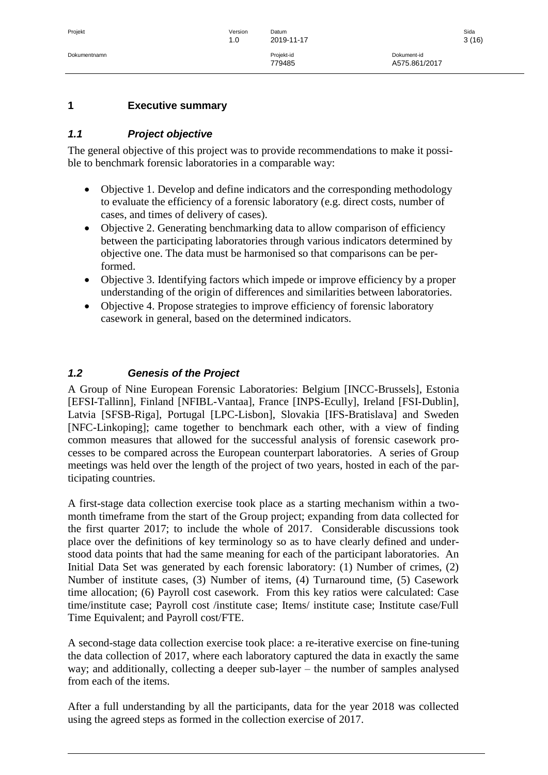#### <span id="page-2-0"></span>**1 Executive summary**

## <span id="page-2-1"></span>*1.1 Project objective*

The general objective of this project was to provide recommendations to make it possible to benchmark forensic laboratories in a comparable way:

- Objective 1. Develop and define indicators and the corresponding methodology to evaluate the efficiency of a forensic laboratory (e.g. direct costs, number of cases, and times of delivery of cases).
- Objective 2. Generating benchmarking data to allow comparison of efficiency between the participating laboratories through various indicators determined by objective one. The data must be harmonised so that comparisons can be performed.
- Objective 3. Identifying factors which impede or improve efficiency by a proper understanding of the origin of differences and similarities between laboratories.
- Objective 4. Propose strategies to improve efficiency of forensic laboratory casework in general, based on the determined indicators.

## <span id="page-2-2"></span>*1.2 Genesis of the Project*

A Group of Nine European Forensic Laboratories: Belgium [INCC-Brussels], Estonia [EFSI-Tallinn], Finland [NFIBL-Vantaa], France [INPS-Ecully], Ireland [FSI-Dublin], Latvia [SFSB-Riga], Portugal [LPC-Lisbon], Slovakia [IFS-Bratislava] and Sweden [NFC-Linkoping]; came together to benchmark each other, with a view of finding common measures that allowed for the successful analysis of forensic casework processes to be compared across the European counterpart laboratories. A series of Group meetings was held over the length of the project of two years, hosted in each of the participating countries.

A first-stage data collection exercise took place as a starting mechanism within a twomonth timeframe from the start of the Group project; expanding from data collected for the first quarter 2017; to include the whole of 2017. Considerable discussions took place over the definitions of key terminology so as to have clearly defined and understood data points that had the same meaning for each of the participant laboratories. An Initial Data Set was generated by each forensic laboratory: (1) Number of crimes, (2) Number of institute cases, (3) Number of items, (4) Turnaround time, (5) Casework time allocation; (6) Payroll cost casework. From this key ratios were calculated: Case time/institute case; Payroll cost /institute case; Items/ institute case; Institute case/Full Time Equivalent; and Payroll cost/FTE.

A second-stage data collection exercise took place: a re-iterative exercise on fine-tuning the data collection of 2017, where each laboratory captured the data in exactly the same way; and additionally, collecting a deeper sub-layer – the number of samples analysed from each of the items.

After a full understanding by all the participants, data for the year 2018 was collected using the agreed steps as formed in the collection exercise of 2017.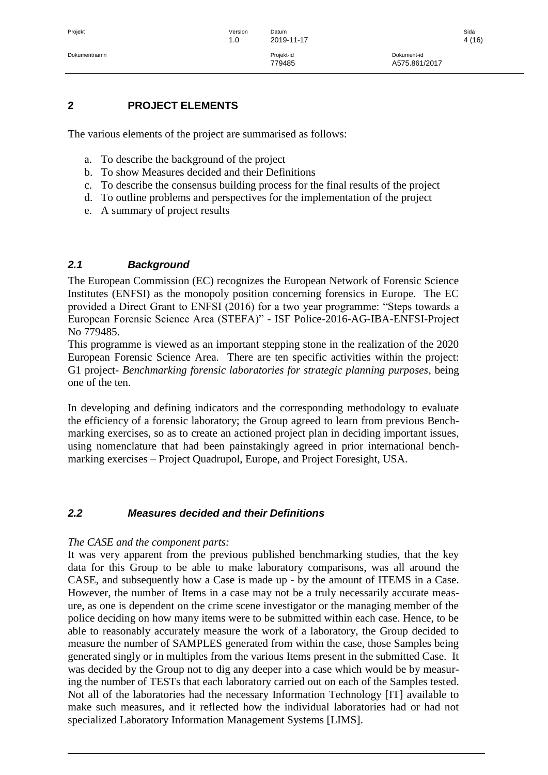#### <span id="page-3-0"></span>**2 PROJECT ELEMENTS**

The various elements of the project are summarised as follows:

- a. To describe the background of the project
- b. To show Measures decided and their Definitions
- c. To describe the consensus building process for the final results of the project
- d. To outline problems and perspectives for the implementation of the project
- e. A summary of project results

# <span id="page-3-1"></span>*2.1 Background*

The European Commission (EC) recognizes the European Network of Forensic Science Institutes (ENFSI) as the monopoly position concerning forensics in Europe. The EC provided a Direct Grant to ENFSI (2016) for a two year programme: "Steps towards a European Forensic Science Area (STEFA)" - ISF Police-2016-AG-IBA-ENFSI-Project No 779485.

This programme is viewed as an important stepping stone in the realization of the 2020 European Forensic Science Area. There are ten specific activities within the project: G1 project- *Benchmarking forensic laboratories for strategic planning purposes*, being one of the ten.

In developing and defining indicators and the corresponding methodology to evaluate the efficiency of a forensic laboratory; the Group agreed to learn from previous Benchmarking exercises, so as to create an actioned project plan in deciding important issues, using nomenclature that had been painstakingly agreed in prior international benchmarking exercises – Project Quadrupol, Europe, and Project Foresight, USA.

## <span id="page-3-2"></span>*2.2 Measures decided and their Definitions*

#### *The CASE and the component parts:*

It was very apparent from the previous published benchmarking studies, that the key data for this Group to be able to make laboratory comparisons, was all around the CASE, and subsequently how a Case is made up - by the amount of ITEMS in a Case. However, the number of Items in a case may not be a truly necessarily accurate measure, as one is dependent on the crime scene investigator or the managing member of the police deciding on how many items were to be submitted within each case. Hence, to be able to reasonably accurately measure the work of a laboratory, the Group decided to measure the number of SAMPLES generated from within the case, those Samples being generated singly or in multiples from the various Items present in the submitted Case. It was decided by the Group not to dig any deeper into a case which would be by measuring the number of TESTs that each laboratory carried out on each of the Samples tested. Not all of the laboratories had the necessary Information Technology [IT] available to make such measures, and it reflected how the individual laboratories had or had not specialized Laboratory Information Management Systems [LIMS].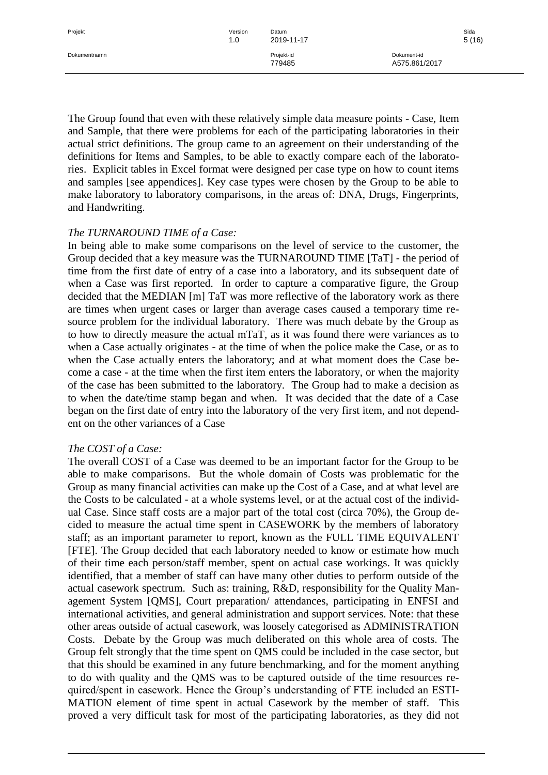The Group found that even with these relatively simple data measure points - Case, Item and Sample, that there were problems for each of the participating laboratories in their actual strict definitions. The group came to an agreement on their understanding of the definitions for Items and Samples, to be able to exactly compare each of the laboratories. Explicit tables in Excel format were designed per case type on how to count items and samples [see appendices]. Key case types were chosen by the Group to be able to make laboratory to laboratory comparisons, in the areas of: DNA, Drugs, Fingerprints, and Handwriting.

#### *The TURNAROUND TIME of a Case:*

In being able to make some comparisons on the level of service to the customer, the Group decided that a key measure was the TURNAROUND TIME [TaT] - the period of time from the first date of entry of a case into a laboratory, and its subsequent date of when a Case was first reported. In order to capture a comparative figure, the Group decided that the MEDIAN [m] TaT was more reflective of the laboratory work as there are times when urgent cases or larger than average cases caused a temporary time resource problem for the individual laboratory. There was much debate by the Group as to how to directly measure the actual mTaT, as it was found there were variances as to when a Case actually originates - at the time of when the police make the Case, or as to when the Case actually enters the laboratory; and at what moment does the Case become a case - at the time when the first item enters the laboratory, or when the majority of the case has been submitted to the laboratory. The Group had to make a decision as to when the date/time stamp began and when. It was decided that the date of a Case began on the first date of entry into the laboratory of the very first item, and not dependent on the other variances of a Case

#### *The COST of a Case:*

The overall COST of a Case was deemed to be an important factor for the Group to be able to make comparisons. But the whole domain of Costs was problematic for the Group as many financial activities can make up the Cost of a Case, and at what level are the Costs to be calculated - at a whole systems level, or at the actual cost of the individual Case. Since staff costs are a major part of the total cost (circa 70%), the Group decided to measure the actual time spent in CASEWORK by the members of laboratory staff; as an important parameter to report, known as the FULL TIME EQUIVALENT [FTE]. The Group decided that each laboratory needed to know or estimate how much of their time each person/staff member, spent on actual case workings. It was quickly identified, that a member of staff can have many other duties to perform outside of the actual casework spectrum. Such as: training, R&D, responsibility for the Quality Management System [QMS], Court preparation/ attendances, participating in ENFSI and international activities, and general administration and support services. Note: that these other areas outside of actual casework, was loosely categorised as ADMINISTRATION Costs. Debate by the Group was much deliberated on this whole area of costs. The Group felt strongly that the time spent on QMS could be included in the case sector, but that this should be examined in any future benchmarking, and for the moment anything to do with quality and the QMS was to be captured outside of the time resources required/spent in casework. Hence the Group's understanding of FTE included an ESTI-MATION element of time spent in actual Casework by the member of staff. This proved a very difficult task for most of the participating laboratories, as they did not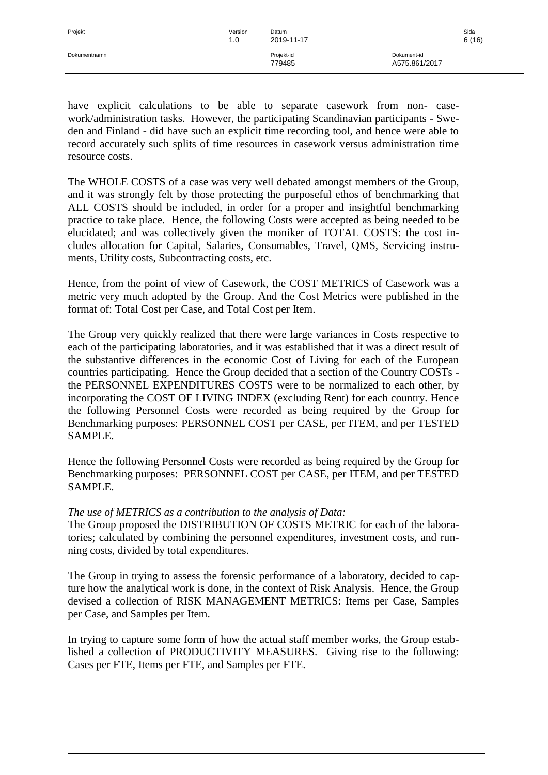have explicit calculations to be able to separate casework from non- casework/administration tasks. However, the participating Scandinavian participants - Sweden and Finland - did have such an explicit time recording tool, and hence were able to record accurately such splits of time resources in casework versus administration time resource costs.

The WHOLE COSTS of a case was very well debated amongst members of the Group, and it was strongly felt by those protecting the purposeful ethos of benchmarking that ALL COSTS should be included, in order for a proper and insightful benchmarking practice to take place. Hence, the following Costs were accepted as being needed to be elucidated; and was collectively given the moniker of TOTAL COSTS: the cost includes allocation for Capital, Salaries, Consumables, Travel, QMS, Servicing instruments, Utility costs, Subcontracting costs, etc.

Hence, from the point of view of Casework, the COST METRICS of Casework was a metric very much adopted by the Group. And the Cost Metrics were published in the format of: Total Cost per Case, and Total Cost per Item.

The Group very quickly realized that there were large variances in Costs respective to each of the participating laboratories, and it was established that it was a direct result of the substantive differences in the economic Cost of Living for each of the European countries participating. Hence the Group decided that a section of the Country COSTs the PERSONNEL EXPENDITURES COSTS were to be normalized to each other, by incorporating the COST OF LIVING INDEX (excluding Rent) for each country. Hence the following Personnel Costs were recorded as being required by the Group for Benchmarking purposes: PERSONNEL COST per CASE, per ITEM, and per TESTED SAMPLE.

Hence the following Personnel Costs were recorded as being required by the Group for Benchmarking purposes: PERSONNEL COST per CASE, per ITEM, and per TESTED SAMPLE.

## *The use of METRICS as a contribution to the analysis of Data:*

The Group proposed the DISTRIBUTION OF COSTS METRIC for each of the laboratories; calculated by combining the personnel expenditures, investment costs, and running costs, divided by total expenditures.

The Group in trying to assess the forensic performance of a laboratory, decided to capture how the analytical work is done, in the context of Risk Analysis. Hence, the Group devised a collection of RISK MANAGEMENT METRICS: Items per Case, Samples per Case, and Samples per Item.

In trying to capture some form of how the actual staff member works, the Group established a collection of PRODUCTIVITY MEASURES. Giving rise to the following: Cases per FTE, Items per FTE, and Samples per FTE.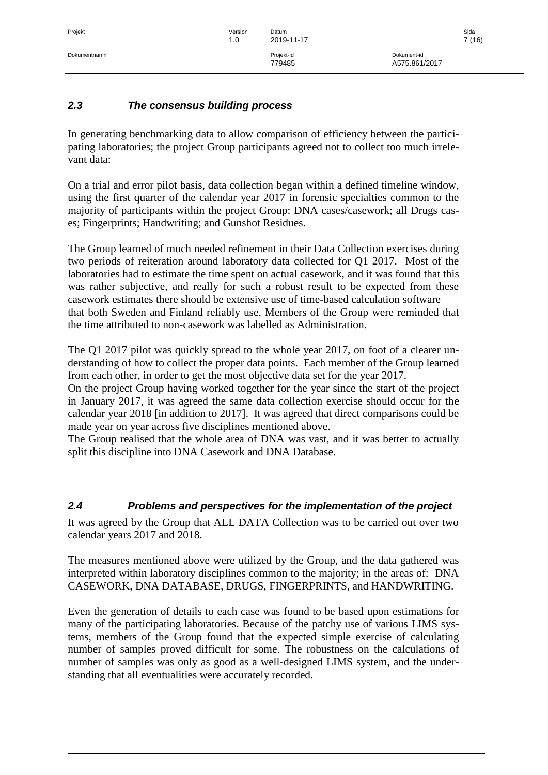# <span id="page-6-0"></span>*2.3 The consensus building process*

In generating benchmarking data to allow comparison of efficiency between the participating laboratories; the project Group participants agreed not to collect too much irrelevant data:

On a trial and error pilot basis, data collection began within a defined timeline window, using the first quarter of the calendar year 2017 in forensic specialties common to the majority of participants within the project Group: DNA cases/casework; all Drugs cases; Fingerprints; Handwriting; and Gunshot Residues.

The Group learned of much needed refinement in their Data Collection exercises during two periods of reiteration around laboratory data collected for Q1 2017. Most of the laboratories had to estimate the time spent on actual casework, and it was found that this was rather subjective, and really for such a robust result to be expected from these casework estimates there should be extensive use of time-based calculation software that both Sweden and Finland reliably use. Members of the Group were reminded that the time attributed to non-casework was labelled as Administration.

The Q1 2017 pilot was quickly spread to the whole year 2017, on foot of a clearer understanding of how to collect the proper data points. Each member of the Group learned from each other, in order to get the most objective data set for the year 2017.

On the project Group having worked together for the year since the start of the project in January 2017, it was agreed the same data collection exercise should occur for the calendar year 2018 [in addition to 2017]. It was agreed that direct comparisons could be made year on year across five disciplines mentioned above.

The Group realised that the whole area of DNA was vast, and it was better to actually split this discipline into DNA Casework and DNA Database.

## <span id="page-6-1"></span>*2.4 Problems and perspectives for the implementation of the project*

It was agreed by the Group that ALL DATA Collection was to be carried out over two calendar years 2017 and 2018.

The measures mentioned above were utilized by the Group, and the data gathered was interpreted within laboratory disciplines common to the majority; in the areas of: DNA CASEWORK, DNA DATABASE, DRUGS, FINGERPRINTS, and HANDWRITING.

Even the generation of details to each case was found to be based upon estimations for many of the participating laboratories. Because of the patchy use of various LIMS systems, members of the Group found that the expected simple exercise of calculating number of samples proved difficult for some. The robustness on the calculations of number of samples was only as good as a well-designed LIMS system, and the understanding that all eventualities were accurately recorded.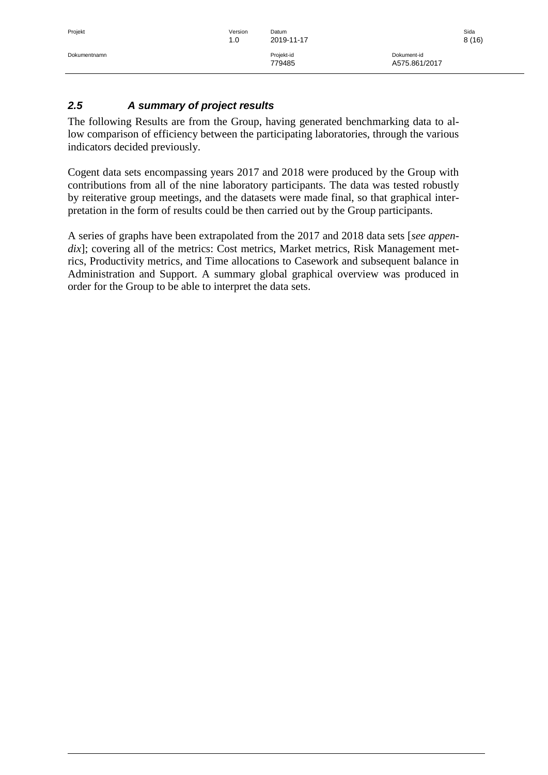# <span id="page-7-0"></span>*2.5 A summary of project results*

The following Results are from the Group, having generated benchmarking data to allow comparison of efficiency between the participating laboratories, through the various indicators decided previously.

Cogent data sets encompassing years 2017 and 2018 were produced by the Group with contributions from all of the nine laboratory participants. The data was tested robustly by reiterative group meetings, and the datasets were made final, so that graphical interpretation in the form of results could be then carried out by the Group participants.

A series of graphs have been extrapolated from the 2017 and 2018 data sets [*see appendix*]; covering all of the metrics: Cost metrics, Market metrics, Risk Management metrics, Productivity metrics, and Time allocations to Casework and subsequent balance in Administration and Support. A summary global graphical overview was produced in order for the Group to be able to interpret the data sets.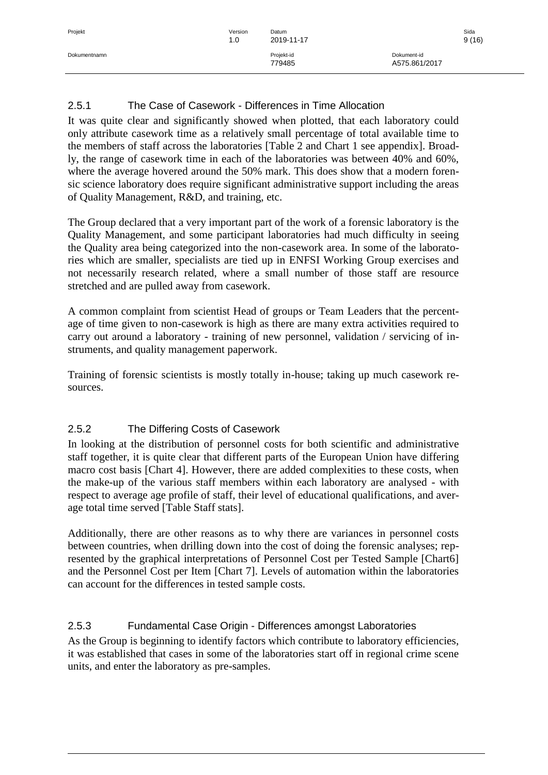| Projekt      | Version<br>1.0 | Datum<br>2019-11-17 |               | Sida<br>9(16) |
|--------------|----------------|---------------------|---------------|---------------|
| Dokumentnamn |                | Projekt-id          | Dokument-id   |               |
|              |                | 779485              | A575.861/2017 |               |
|              |                |                     |               |               |

# <span id="page-8-0"></span>2.5.1 The Case of Casework - Differences in Time Allocation

It was quite clear and significantly showed when plotted, that each laboratory could only attribute casework time as a relatively small percentage of total available time to the members of staff across the laboratories [Table 2 and Chart 1 see appendix]. Broadly, the range of casework time in each of the laboratories was between 40% and 60%, where the average hovered around the 50% mark. This does show that a modern forensic science laboratory does require significant administrative support including the areas of Quality Management, R&D, and training, etc.

The Group declared that a very important part of the work of a forensic laboratory is the Quality Management, and some participant laboratories had much difficulty in seeing the Quality area being categorized into the non-casework area. In some of the laboratories which are smaller, specialists are tied up in ENFSI Working Group exercises and not necessarily research related, where a small number of those staff are resource stretched and are pulled away from casework.

A common complaint from scientist Head of groups or Team Leaders that the percentage of time given to non-casework is high as there are many extra activities required to carry out around a laboratory - training of new personnel, validation / servicing of instruments, and quality management paperwork.

Training of forensic scientists is mostly totally in-house; taking up much casework resources.

# <span id="page-8-1"></span>2.5.2 The Differing Costs of Casework

In looking at the distribution of personnel costs for both scientific and administrative staff together, it is quite clear that different parts of the European Union have differing macro cost basis [Chart 4]. However, there are added complexities to these costs, when the make-up of the various staff members within each laboratory are analysed - with respect to average age profile of staff, their level of educational qualifications, and average total time served [Table Staff stats].

Additionally, there are other reasons as to why there are variances in personnel costs between countries, when drilling down into the cost of doing the forensic analyses; represented by the graphical interpretations of Personnel Cost per Tested Sample [Chart6] and the Personnel Cost per Item [Chart 7]. Levels of automation within the laboratories can account for the differences in tested sample costs.

# <span id="page-8-2"></span>2.5.3 Fundamental Case Origin - Differences amongst Laboratories

As the Group is beginning to identify factors which contribute to laboratory efficiencies, it was established that cases in some of the laboratories start off in regional crime scene units, and enter the laboratory as pre-samples.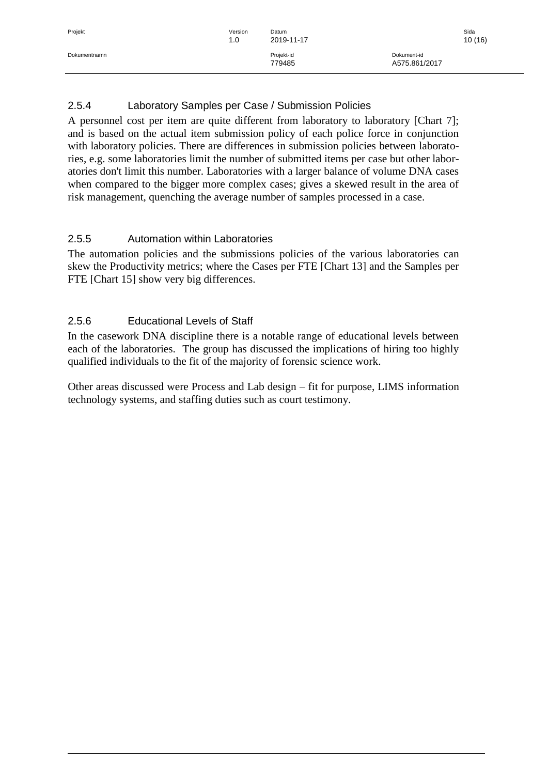# <span id="page-9-0"></span>2.5.4 Laboratory Samples per Case / Submission Policies

A personnel cost per item are quite different from laboratory to laboratory [Chart 7]; and is based on the actual item submission policy of each police force in conjunction with laboratory policies. There are differences in submission policies between laboratories, e.g. some laboratories limit the number of submitted items per case but other laboratories don't limit this number. Laboratories with a larger balance of volume DNA cases when compared to the bigger more complex cases; gives a skewed result in the area of risk management, quenching the average number of samples processed in a case.

# <span id="page-9-1"></span>2.5.5 Automation within Laboratories

The automation policies and the submissions policies of the various laboratories can skew the Productivity metrics; where the Cases per FTE [Chart 13] and the Samples per FTE [Chart 15] show very big differences.

# <span id="page-9-2"></span>2.5.6 Educational Levels of Staff

In the casework DNA discipline there is a notable range of educational levels between each of the laboratories. The group has discussed the implications of hiring too highly qualified individuals to the fit of the majority of forensic science work.

Other areas discussed were Process and Lab design – fit for purpose, LIMS information technology systems, and staffing duties such as court testimony.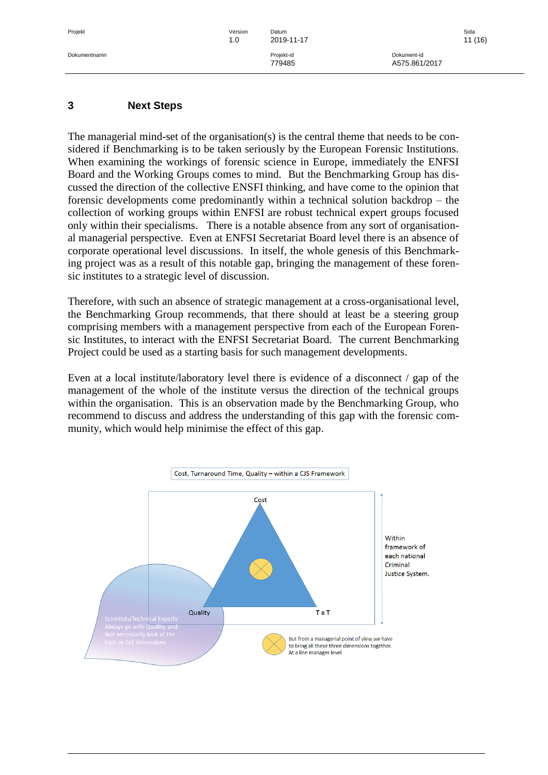#### <span id="page-10-0"></span>**3 Next Steps**

The managerial mind-set of the organisation(s) is the central theme that needs to be considered if Benchmarking is to be taken seriously by the European Forensic Institutions. When examining the workings of forensic science in Europe, immediately the ENFSI Board and the Working Groups comes to mind. But the Benchmarking Group has discussed the direction of the collective ENSFI thinking, and have come to the opinion that forensic developments come predominantly within a technical solution backdrop – the collection of working groups within ENFSI are robust technical expert groups focused only within their specialisms. There is a notable absence from any sort of organisational managerial perspective. Even at ENFSI Secretariat Board level there is an absence of corporate operational level discussions. In itself, the whole genesis of this Benchmarking project was as a result of this notable gap, bringing the management of these forensic institutes to a strategic level of discussion.

Therefore, with such an absence of strategic management at a cross-organisational level, the Benchmarking Group recommends, that there should at least be a steering group comprising members with a management perspective from each of the European Forensic Institutes, to interact with the ENFSI Secretariat Board. The current Benchmarking Project could be used as a starting basis for such management developments.

Even at a local institute/laboratory level there is evidence of a disconnect / gap of the management of the whole of the institute versus the direction of the technical groups within the organisation. This is an observation made by the Benchmarking Group, who recommend to discuss and address the understanding of this gap with the forensic community, which would help minimise the effect of this gap.

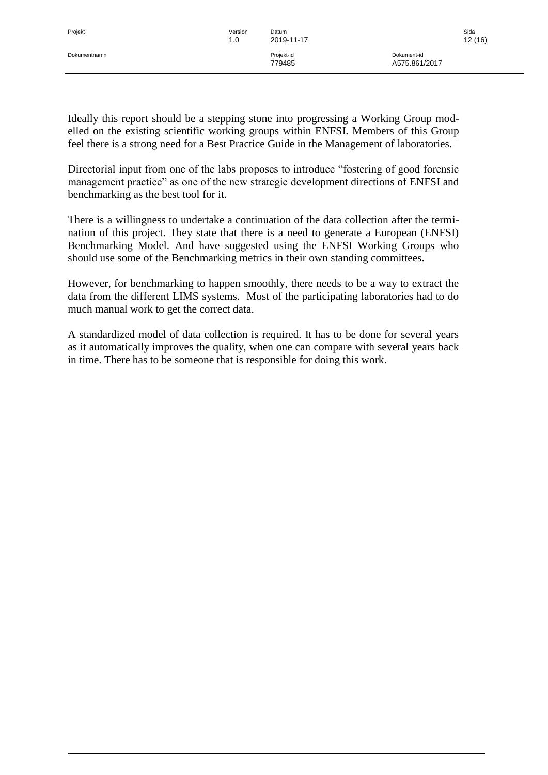Ideally this report should be a stepping stone into progressing a Working Group modelled on the existing scientific working groups within ENFSI. Members of this Group feel there is a strong need for a Best Practice Guide in the Management of laboratories.

Directorial input from one of the labs proposes to introduce "fostering of good forensic management practice" as one of the new strategic development directions of ENFSI and benchmarking as the best tool for it.

There is a willingness to undertake a continuation of the data collection after the termination of this project. They state that there is a need to generate a European (ENFSI) Benchmarking Model. And have suggested using the ENFSI Working Groups who should use some of the Benchmarking metrics in their own standing committees.

However, for benchmarking to happen smoothly, there needs to be a way to extract the data from the different LIMS systems. Most of the participating laboratories had to do much manual work to get the correct data.

A standardized model of data collection is required. It has to be done for several years as it automatically improves the quality, when one can compare with several years back in time. There has to be someone that is responsible for doing this work.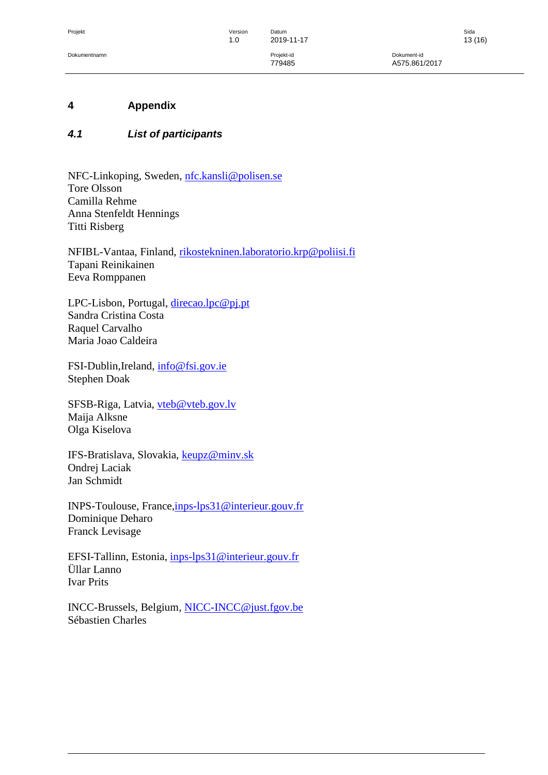Dokumentnamn Projekt-id Dokument-id 779485 A575.861/2017

#### <span id="page-12-0"></span>**4 Appendix**

#### <span id="page-12-1"></span>*4.1 List of participants*

NFC-Linkoping, Sweden, [nfc.kansli@polisen.se](mailto:nfc.kansli@polisen.se) Tore Olsson Camilla Rehme Anna Stenfeldt Hennings Titti Risberg

NFIBL-Vantaa, Finland, [rikostekninen.laboratorio.krp@poliisi.fi](mailto:rikostekninen.laboratorio.krp@poliisi.fi) Tapani Reinikainen Eeva Romppanen

LPC-Lisbon, Portugal, [direcao.lpc@pj.pt](mailto:direcao.lpc@pj.pt) Sandra Cristina Costa Raquel Carvalho Maria Joao Caldeira

FSI-Dublin,Ireland, [info@fsi.gov.ie](mailto:info@fsi.gov.ie) Stephen Doak

SFSB-Riga, Latvia, [vteb@vteb.gov.lv](mailto:vteb@vteb.gov.lv) Maija Alksne Olga Kiselova

IFS-Bratislava, Slovakia, **keupz@minv.sk** Ondrej Laciak Jan Schmidt

INPS-Toulouse, France[,inps-lps31@interieur.gouv.fr](mailto:inps-lps31@interieur.gouv.fr) Dominique Deharo Franck Levisage

EFSI-Tallinn, Estonia, [inps-lps31@interieur.gouv.fr](mailto:inps-lps31@interieur.gouv.fr) Üllar Lanno Ivar Prits

INCC-Brussels, Belgium, [NICC-INCC@just.fgov.be](mailto:NICC-INCC@just.fgov.be) Sébastien Charles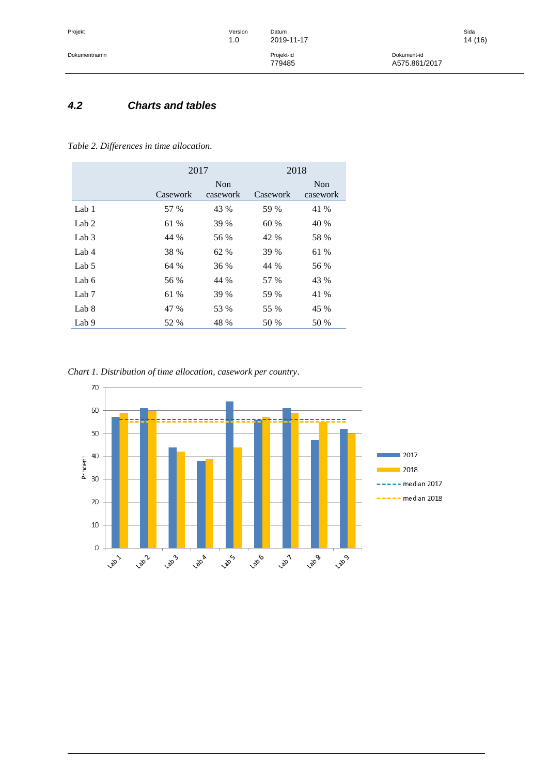## <span id="page-13-0"></span>*4.2 Charts and tables*

#### *Table 2. Differences in time allocation.*

|                  | 2017     |                 | 2018     |                 |
|------------------|----------|-----------------|----------|-----------------|
|                  | Casework | Non<br>casework | Casework | Non<br>casework |
| Lab $1$          | 57 %     | 43 %            | 59 %     | 41 %            |
| Lab $2$          | 61 %     | 39 %            | 60 %     | 40 %            |
| Lab $3$          | 44 %     | 56 %            | 42 %     | 58 %            |
| Lab $4$          | 38 %     | 62 %            | 39 %     | 61 %            |
| Lab 5            | 64 %     | 36 %            | 44 %     | 56 %            |
| Lab 6            | 56 %     | 44 %            | 57 %     | 43 %            |
| Lab <sub>7</sub> | 61 %     | 39 %            | 59 %     | 41 %            |
| Lab 8            | 47 %     | 53 %            | 55 %     | 45 %            |
| Lab 9            | 52 %     | 48 %            | 50 %     | 50 %            |

*Chart 1. Distribution of time allocation, casework per country.*

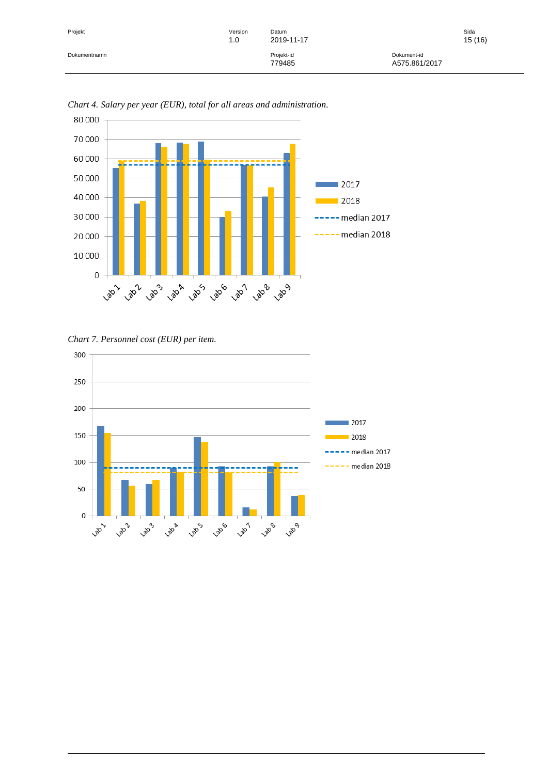| Projekt      | Version<br>1.0 | Datum<br>2019-11-17  | Sida                         | 15(16) |
|--------------|----------------|----------------------|------------------------------|--------|
| Dokumentnamn |                | Projekt-id<br>779485 | Dokument-id<br>A575.861/2017 |        |



*Chart 4. Salary per year (EUR), total for all areas and administration.*

*Chart 7. Personnel cost (EUR) per item.*